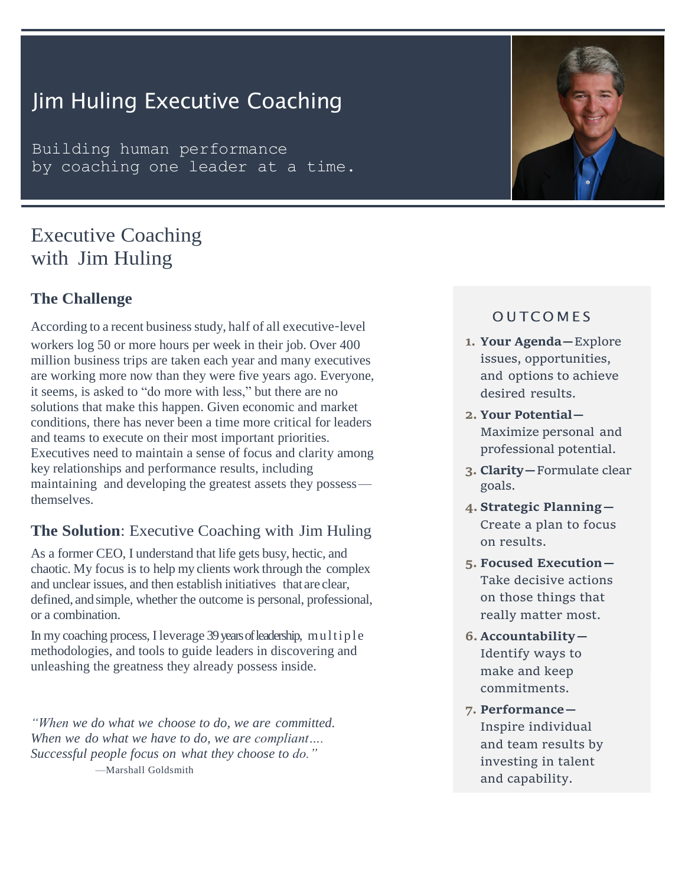# Jim Huling Executive Coaching

Building human performance by coaching one leader at a time.

## Executive Coaching with Jim Huling

## **The Challenge**

According to a recent business study, half of all executive-level workers log 50 or more hours per week in their job. Over 400 million business trips are taken each year and many executives are working more now than they were five years ago. Everyone, it seems, is asked to "do more with less," but there are no solutions that make this happen. Given economic and market conditions, there has never been a time more critical for leaders and teams to execute on their most important priorities. Executives need to maintain a sense of focus and clarity among key relationships and performance results, including maintaining and developing the greatest assets they possess themselves.

## **The Solution**: Executive Coaching with Jim Huling

As a former CEO, I understand that life gets busy, hectic, and chaotic. My focus is to help my clients work through the complex and unclear issues, and then establish initiatives that are clear, defined, and simple, whether the outcome is personal, professional, or a combination.

In my coaching process, I leverage 39 years of leadership, multiple methodologies, and tools to guide leaders in discovering and unleashing the greatness they already possess inside.

*"When we do what we choose to do, we are committed. When we do what we have to do, we are compliant…. Successful people focus on what they choose to do."* —Marshall Goldsmith



## **OUTCOMES**

- **1. Your Agenda—**Explore issues, opportunities, and options to achieve desired results.
- **2. Your Potential—** Maximize personal and professional potential.
- **3. Clarity—**Formulate clear goals.
- **4. Strategic Planning—** Create a plan to focus on results.
- **5. Focused Execution—** Take decisive actions on those things that really matter most.
- **6. Accountability—** Identify ways to make and keep commitments.
- **7. Performance—** Inspire individual and team results by investing in talent and capability.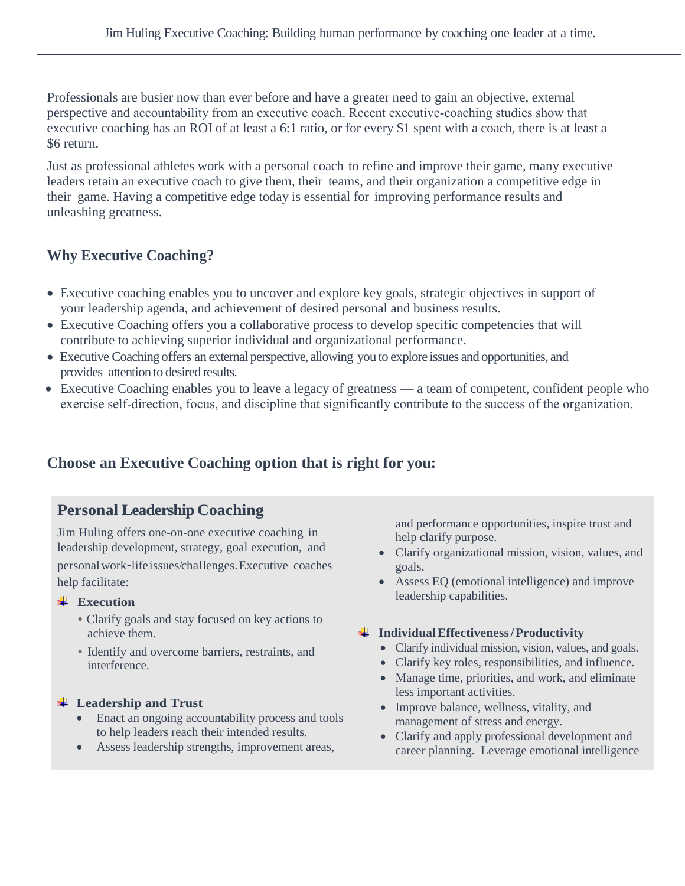Professionals are busier now than ever before and have a greater need to gain an objective, external perspective and accountability from an executive coach. Recent executive‑coaching studies show that executive coaching has an ROI of at least a 6:1 ratio, or for every \$1 spent with a coach, there is at least a \$6 return.

Just as professional athletes work with a personal coach to refine and improve their game, many executive leaders retain an executive coach to give them, their teams, and their organization a competitive edge in their game. Having a competitive edge today is essential for improving performance results and unleashing greatness.

## **Why Executive Coaching?**

- Executive coaching enables you to uncover and explore key goals, strategic objectives in support of your leadership agenda, and achievement of desired personal and business results.
- Executive Coaching offers you a collaborative process to develop specific competencies that will contribute to achieving superior individual and organizational performance.
- Executive Coaching offers an external perspective, allowing you to explore issues and opportunities, and provides attention to desired results.
- Executive Coaching enables you to leave a legacy of greatness a team of competent, confident people who exercise self-direction, focus, and discipline that significantly contribute to the success of the organization.

## **Choose an Executive Coaching option that is right for you:**

## **Personal Leadership Coaching**

Jim Huling offers one-on-one executive coaching in leadership development, strategy, goal execution, and personalwork‑lifeissues/challenges.Executive coaches help facilitate:

#### **Execution**

- Clarify goals and stay focused on key actions to achieve them.
- Identify and overcome barriers, restraints, and interference.

#### **Leadership and Trust**

- Enact an ongoing accountability process and tools to help leaders reach their intended results.
- Assess leadership strengths, improvement areas,

and performance opportunities, inspire trust and help clarify purpose.

- Clarify organizational mission, vision, values, and goals.
- Assess EQ (emotional intelligence) and improve leadership capabilities.

#### **IndividualEffectiveness/Productivity**

- Clarify individual mission, vision, values, and goals.
- Clarify key roles, responsibilities, and influence.
- Manage time, priorities, and work, and eliminate less important activities.
- Improve balance, wellness, vitality, and management of stress and energy.
- Clarify and apply professional development and career planning. Leverage emotional intelligence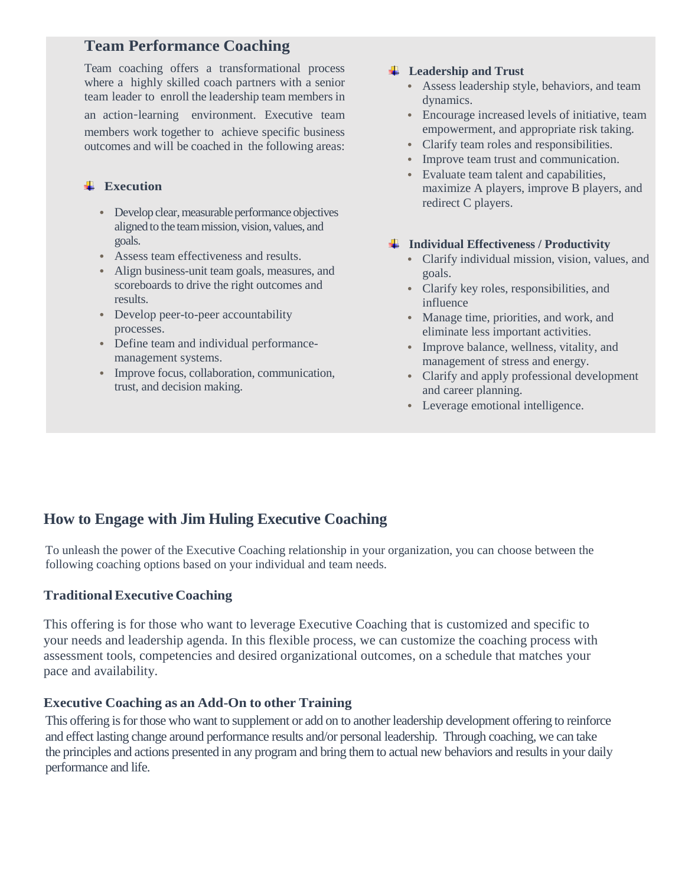## **Team Performance Coaching**

Team coaching offers a transformational process where a highly skilled coach partners with a senior team leader to enroll the leadership team members in

an action‑learning environment. Executive team members work together to achieve specific business outcomes and will be coached in the following areas:

#### **Execution**

- Develop clear, measurable performance objectives aligned to the teammission, vision, values, and goals.
- Assess team effectiveness and results.
- Align business-unit team goals, measures, and scoreboards to drive the right outcomes and results.
- Develop peer-to-peer accountability processes.
- Define team and individual performancemanagement systems.
- Improve focus, collaboration, communication, trust, and decision making.

#### **Leadership and Trust**

- Assess leadership style, behaviors, and team dynamics.
- Encourage increased levels of initiative, team empowerment, and appropriate risk taking.
- Clarify team roles and responsibilities.
- Improve team trust and communication.
- Evaluate team talent and capabilities, maximize A players, improve B players, and redirect C players.

#### **Individual Effectiveness / Productivity**

- Clarify individual mission, vision, values, and goals.
- Clarify key roles, responsibilities, and influence
- Manage time, priorities, and work, and eliminate less important activities.
- Improve balance, wellness, vitality, and management of stress and energy.
- Clarify and apply professional development and career planning.
- Leverage emotional intelligence.

## **How to Engage with Jim Huling Executive Coaching**

To unleash the power of the Executive Coaching relationship in your organization, you can choose between the following coaching options based on your individual and team needs.

#### **TraditionalExecutive Coaching**

This offering is for those who want to leverage Executive Coaching that is customized and specific to your needs and leadership agenda. In this flexible process, we can customize the coaching process with assessment tools, competencies and desired organizational outcomes, on a schedule that matches your pace and availability.

#### **Executive Coaching as an Add-On to other Training**

This offering is for those who want to supplement or add on to another leadership development offering to reinforce and effect lasting change around performance results and/or personal leadership. Through coaching, we can take the principles and actions presented in any program and bring them to actual new behaviors and results in your daily performance and life.